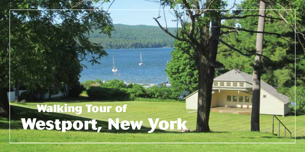# **Walking Tour of Westport, New York**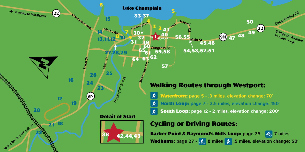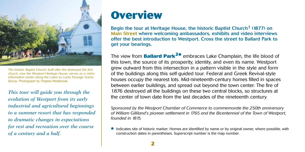

*The historic Baptist Church, built after fire destroyed the first church, now the Westport Heritage House, serves as a visitor information center along the Lakes to Locks Passage Scenic Byway.* Photograph by Virginia Westbrook.

*This tour will guide you through the evolution of Westport from its early industrial and agricultural beginnings to a summer resort that has responded to dramatic changes in expectations for rest and recreation over the course of a century and a half.* 

### **Overview**

Begin the tour at Heritage House, the historic Baptist Church<sup>1</sup> (1877) on Main Street where welcoming ambassadors, exhibits and video interviews offer the best introduction to Westport. Cross the street to Ballard Park to get your bearings.

The view from **Ballard Park2\*** embraces Lake Champlain, the life blood of this town, the source of its prosperity, identity, and even its name. Westport grew outward from this intersection in a pattern visible in the style and form of the buildings along this self-guided tour. Federal and Greek Revival-style houses occupy the nearest lots. Mid-nineteenth-century homes filled in spaces between earlier buildings, and spread out beyond the town center. The fire of 1876 destroyed all the buildings on these two central blocks, so structures at the center of town date from the last decades of the nineteenth century.

*Sponsored by the Westport Chamber of Commerce to commemorate the 250th anniversary of William Gilliland's pioneer settlement in 1765 and the Bicentennial of the Town of Westport, founded in 1815.*

**\*** Indicates site of historic marker. Homes are identified by name or by original owner, where possible, with construction dates in parentheses. Superscript number is the man number construction dates in parentheses. Superscript number is the map number.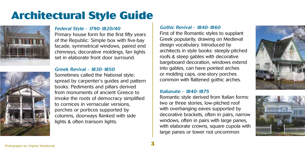## **Architectural Style Guide**





#### Federal Style - 1790-1820/40

Primary house form for the first fifty years of the Republic: Simple box with five-bay facade, symmetrical windows, paired end chimneys, decorative moldings, fan lights set in elaborate front door surround.

#### Greek Revival - 1830-1850

Sometimes called the National style; spread by carpenter's guides and pattern books: Pediments and pillars derived from monuments of ancient Greece to invoke the roots of democracy simplified to cornices in vernacular versions, porches or porticos supported by columns, doorways flanked with side lights & often transom lights.

#### Gothic Revival - 1840-1860

First of the Romantic styles to supplant Greek popularity, drawing on Medieval design vocabulary. Introduced by architects in style books: steeply-pitched roofs & steep gables with decorative bargeboard decoration, windows extend into gables, can have pointed arches or molding caps, one-story porches common with flattened gothic arches.

#### Italianate - 1840-1875

Romantic style derived from Italian forms: two or three stories, low-pitched roof with overhanging eaves supported by decorative brackets, often in pairs, narrow windows, often in pairs with large panes, with elaborate crowns, square cupola with large panes or tower not uncommon.



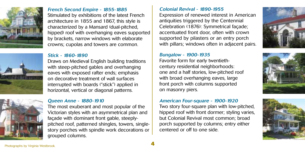



#### French Second Empire - 1855-1885

Stimulated by exhibitions of the latest French architecture in 1855 and 1867, this style is characterized by a Mansard (dual-pitched, hipped) roof with overhanging eaves supported by brackets, narrow windows with elaborate crowns; cupolas and towers are common.

#### Stick - 1860-1890

Draws on Medieval English building traditions with steep-pitched gables and overhanging eaves with exposed rafter ends; emphasis on decorative treatment of wall surfaces interrupted with boards ("stick") applied in horizontal, vertical or diagonal patterns.

#### Queen Anne - 1880-1910

The most exuberant and most popular of the Victorian styles with an asymmetrical plan and façade with dominant front gable, steeplypitched roof, patterned shingles, towers, singlestory porches with spindle work decorations or grouped columns.

#### Colonial Revival - 1890-1955

Expression of renewed interest in American antiquities triggered by the Centennial Celebration (1876): Symmetrical façade; accentuated front door, often with crown supported by pilasters or an entry porch with pillars; windows often in adjacent pairs.

#### Bungalow - 1900-1935

Favorite form for early twentiethcentury residential neighborhoods: one and a half stories, low-pitched roof with broad overhanging eaves, large front porch with columns supported on masonry piers.

#### American Four-square - 1900-1920

Two story four-square plan with low-pitched, hipped roof with front dormer; styling varies, but Colonial Revival most common; broad porch supported by columns; entry either centered or off to one side.





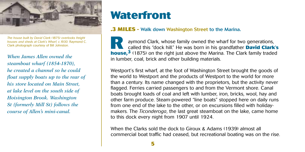

*The house built by David Clark (1875) overlooks freight houses and sheds at Clark's Wharf, c.1930.* Raymond C. Clark photograph courtesy of Bill Johnston.

*When James Allen owned the steamboat wharf (1854-1870), he created a channel so he could float supply boats up to the rear of his store located on Main Street, at lake level on the south side of Hoisington Brook. Washington St (formerly Mill St) follows the course of Allen's mini-canal.*

### **Waterfront**

#### **.3 miles -** Walk down Washington Street to the Marina.

 aymond Clark, whose family owned the wharf for two generations, called this "dock hill." He was born in his grandfather **David Clark's**  aymond Clark, whose family owned the wharf for two generations, called this "dock hill." He was born in his grandfather **David Clark's** house,<sup>3</sup> (1875) on the right just above the Marina. The Clark family traded in lumber, coal, brick and other building materials.

Westport's first wharf, at the foot of Washington Street brought the goods of the world to Westport and the products of Westport to the world for more than a century. Its name changed with the proprietors, but the activity never flagged. Ferries carried passengers to and from the Vermont shore. Canal boats brought loads of coal and left with lumber, iron, bricks, wool, hay and other farm produce. Steam-powered "line boats" stopped here on daily runs from one end of the lake to the other, or on excursions filled with holidaymakers. The *Ticonderoga*, the last great steamboat on the lake, came home to this dock every night from 1907 until 1924.

When the Clarks sold the dock to Giroux & Adams (1939) almost all commercial boat traffic had ceased, but recreational boating was on the rise.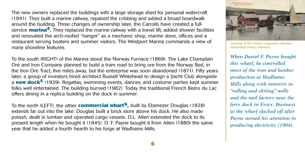The new owners replaced the buildings with a large storage shed for personal watercraft (1941). They built a marine railway, repaired the cribbing and added a broad boardwalk around the building. Three changes of ownership later, the Carrolls have created a fullservice **marina4.** They replaced the marine railway with a travel lift, added shower facilities and renovated the arch-roofed "hanger" as a mechanic shop, marine store, offices and a restaurant serving boaters and summer visitors. The Westport Marina commands a view of many shoreline features.

To the south (RIGHT) of the Marina stood the Norway Furnace (1869). The Lake Champlain Ore and Iron Company planned to build a tram road to bring ore from the Norway Bed, in the Iron Ore Tract, five miles away, but the enterprise was soon abandoned (1871). Fifty years later, a group of investors hired architect Russell Whitehead to design a Yacht Club alongside a **new dock5** (1939). Regattas, swimming events, dances, and costume parties kept summer folks well entertained. The building burned (1982). Today the traditional French Bistro du Lac offers dining in a replica building on the dock in summer.

To the north (LEFT), the other **commercial wharf6,** built by Ebenezer Douglas (1828) extends far out into the lake. Douglas built a brick store above his dock. He also made potash, dealt in lumber and operated cargo vessels. D.L. Allen extended the dock to its present length when he bought it (1845). D. F. Payne bought it from Allen (1880) the same year that he added a fourth hearth to his forge at Wadhams Mills.



*Courtesy of the Gretna Longware collection, Adirondack History Museum.*

*When Daniel F. Payne bought this wharf, he controlled most of the iron and lumber production at Wadhams Mills along with interests in "rolling and slitting" mills and the nail factory near the ferry dock in Essex. Business at the wharf slacked off after Payne turned his attention to producing electricity (1904).*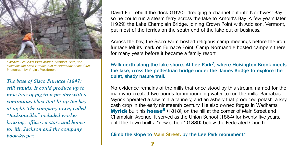

*Elizabeth Lee leads tours around Westport. Here, she examines the Sisco Furnace ruin at Normandy Beach Club.* Photograph by Virginia Westbrook.

*The base of Sisco Furnace (1847) still stands. It could produce up to nine tons of pig iron per day with a continuous blast that lit up the bay at night. The company town, called "Jacksonville," included worker housing, offices, a store and homes for Mr. Jackson and the company book-keeper.*

David Erit rebuilt the dock (1920), dredging a channel out into Northwest Bay so he could run a steam ferry across the lake to Arnold's Bay. A few years later (1929) the Lake Champlain Bridge, joining Crown Point with Addison, Vermont, put most of the ferries on the south end of the lake out of business.

Across the bay, the Sisco Farm hosted religious camp meetings before the iron furnace left its mark on Furnace Point. Camp Normandie hosted campers there for many years before it became a family resort.

Walk north along the lake shore. At Lee Park<sup>7</sup>, where Hoisington Brook meets the lake, cross the pedestrian bridge under the James Bridge to explore the quiet, shady nature trail.

No evidence remains of the mills that once stood by this stream, named for the man who created two ponds for impounding water to run the mills. Barnabas Myrick operated a saw mill, a tannery, and an ashery that produced potash, a key cash crop in the early nineteenth century. He also owned forges in Wadhams. **Myrick** built his **house8** (1818), on the hill at the corner of Main Street and Champlain Avenue. It served as the Union School (1864) for twenty five years, until the Town built a "new school" (1889) below the Federated Church.

Climb the slope to Main Street, by the Lee Park monument.\*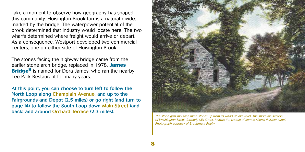Take a moment to observe how geography has shaped this community. Hoisington Brook forms a natural divide, marked by the bridge. The waterpower potential of the brook determined that industry would locate here. The two wharfs determined where freight would arrive or depart. As a consequence, Westport developed two commercial centers, one on either side of Hoisington Brook.

The stones facing the highway bridge came from the earlier stone arch bridge, replaced in 1978. **James Bridge<sup>9</sup>** is named for Dora James, who ran the nearby Lee Park Restaurant for many years.

At this point, you can choose to turn left to follow the North Loop along Champlain Avenue, and up to the Fairgrounds and Depot (2.5 miles) or go right (and turn to page 14) to follow the South Loop down Main Street (and back) and around Orchard Terrace (2.3 miles).



*The stone grist mill rose three stories up from its wharf at lake level. The shoreline section of Washington Street, formerly Mill Street, follows the course of James Allen's delivery canal. Photograph courtesy of Bradamant Realty.*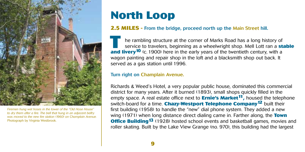

*Firemen hung wet hoses in the tower of the "Old Hose House" to dry them after a fire. The bell that hung in an adjacent belfry was moved to the new fire station (1960) on Champlain Avenue.*  Photograph by Virginia Westbrook.

### **North Loop**

#### **2.5 miles -** From the bridge, proceed north up the Main Street hill.

 he rambling structure at the corner of Marks Road has a long history of service to travelers, beginning as a wheelwright shop. Mell Lott ran a **stable and livery<sup>10</sup>** (c. 1900) here in the early years of the twentieth century, with a **stand livery<sup>10</sup>** (c. 1900) here in the early years of the twentieth century, with a wagon painting and repair shop in the loft and a blacksmith shop out back. It served as a gas station until 1996.

#### Turn right on Champlain Avenue.

Richards & Weed's Hotel, a very popular public house, dominated this commercial district for many years. After it burned (1893), small shops quickly filled in the empty space. A real estate office next to **Ernie's Market11,** housed the telephone switch-board for a time. **Chazy-Westport Telephone Company12** built their first building (1958) to handle the "new" dial phone system. They added a new wing (1971) when long distance direct dialing came in. Farther along, the **Town Office Building<sup>13</sup>** (1928) hosted school events and basketball games, movies and roller skating. Built by the Lake View Grange (no. 970), this building had the largest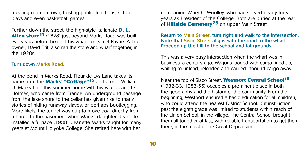meeting room in town, hosting public functions, school plays and even basketball games.

Further down the street, the high-style Italianate **D. L. Allen store<sup>14</sup>** (1878) just beyond Marks Road was built two years before he sold his wharf to Daniel Payne. A later owner, David Erit, also ran the store and wharf together, in the 1920s.

#### Turn down Marks Road.

At the bend in Marks Road, Fleur de Lys Lane takes its name from the **Marks' "Cottage"15** at the end. William D. Marks built this summer home with his wife, Jeanette Holmes, who came from France. An underground passage from the lake shore to the cellar has given rise to many stories of hiding runaway slaves, or perhaps bootlegging. More likely, the tunnel was dug to move coal directly from a barge to the basement when Marks' daughter, Jeanette, installed a furnace (1938). Jeanette Marks taught for many years at Mount Holyoke College. She retired here with her

companion, Mary C. Woolley, who had served nearly forty years as President of the College. Both are buried at the rear of **Hillside Cemetery25** on upper Main Street.

Return to Main Street, turn right and walk to the intersection. Note that Sisco Street aligns with the road to the wharf. Proceed up the hill to the school and fairgrounds.

This was a very busy intersection when the wharf was in business, a century ago. Wagons loaded with cargo lined up, waiting to unload, reloaded and carried inbound cargo away.

Near the top of Sisco Street, **Westport Central School16** (1932-33, 1953-55) occupies a prominent place in both the geography and the history of the community. From the beginning, Westport ensured a basic education for all children, who could attend the nearest District School, but instruction past the eighth grade was limited to students within reach of the Union School, in the village. The Central School brought them all together at last, with reliable transportation to get them there, in the midst of the Great Depression.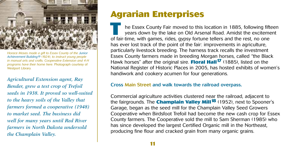

*Horace Moses made a gift to Essex County of the Junior Achievement Building19 (1924), to instruct young people in manual arts and crafts. Cooperative Extension and 4-H programs have their home here*. Photograph courtesy of Westport Library.

*Agricultural Extension agent, Ray Bender, grew a test crop of Trefoil seeds in 1938. It proved so well-suited to the heavy soils of the Valley that farmers formed a cooperative (1948) to market seed. The business did well for many years until Red River farmers in North Dakota undersold the Champlain Valley.* 

### **Agrarian Enterprises**

 he Essex County Fair moved to this location in 1885, following fifteen years down by the lake on Old Arsenal Road. Amidst the excitement The Essex County Fair moved to this location in 1885, following fifter years down by the lake on Old Arsenal Road. Amidst the exciteme of fair-time, with games, rides, gypsy fortune tellers and the rest, no one has ever lost track of the point of the fair: improvements in agriculture, particularly livestock breeding. The harness track recalls the investment Essex County farmers made in breeding Morgan horses, called "the Black Hawk horses" after the original sire. **Floral Hall17** (1885), listed on the National Register of Historic Places in 2005, has hosted exhibits of women's handiwork and cookery acumen for four generations.

#### Cross Main Street and walk towards the railroad overpass.

Commercial agriculture activities clustered near the railroad, adjacent to the fairgrounds. The **Champlain Valley Mill18** (1952), next to Spooner's Garage, began as the seed mill for the Champlain Valley Seed Growers Cooperative when Birdsfoot Trefoil had become the new cash crop for Essex County farmers. The Cooperative sold the mill to Sam Sherman (1985) who has since developed the largest Certified Organic mill in the Northeast, producing fine flour and cracked grain from many organic grains.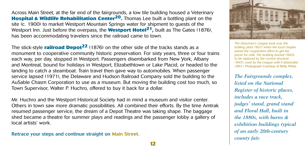Across Main Street, at the far end of the fairgrounds, a low tile building housed a Veterinary **Hospital & Wildlife Rehabilitation Center20.** Thomas Lee built a bottling plant on the site (c. 1900) to market Westport Mountain Springs water for shipment to guests of the Westport Inn. Just before the overpass, the **Westport Hotel21,** built as The Gates (1876), has been accommodating travelers since the railroad came to town.

The stick-style **railroad Depot22** (1876) on the other side of the tracks stands as a monument to cooperative community historic preservation. For sixty years, three or four trains each way, per day, stopped in Westport. Passengers disembarked from New York, Albany and Montreal, bound for holidays in Westport, Elizabethtown or Lake Placid, or headed to the landing to catch a steamboat. Train travel then gave way to automobiles. When passenger service lapsed (1971), the Delaware and Hudson Railroad Company sold the building to the AuSable Chasm Corporation to use as a museum. But moving the building cost too much, so Town Supervisor, Walter P. Huchro, offered to buy it back for a dollar.

Mr. Huchro and the Westport Historical Society had in mind a museum and visitor center. Others in town saw more dramatic possibilities. All combined their efforts. By the time Amtrak resumed passenger service, the dream of a Depot Theatre was taking shape. The baggage shed became a theatre for summer plays and readings and the passenger lobby a gallery of local artists' work.

Retrace your steps and continue straight on Main Street.



*The Dairymen's League took over the bottling plant (1927) when the local chapter joined the cooperative effort to get fair prices for milk. The building burned (1943), to be replaced by the current structure (1947), used by the League until it disbanded (1961).* Photograph Courtesy of Betty White.

*The Fairgrounds complex, listed on the National Register of historic places, includes a race track, judges' stand, grand stand and Floral Hall, built in the 1880s, with barns & exhibition buildings typical of an early 20th-century county fair.*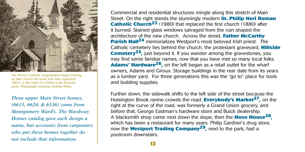

*The Roman Catholic congregation began framing up their church the same year they organized (1857), in the midst of a nation-wide financial panic.* Photograph courtesy of Betty White.

*Three upper Main Street homes, (6615, 6624, & 6536) came from Montgomery Ward's. The Wardway Homes catalog gave each design a name, but accounts from carpenters who put these homes together do not include that information.* 

Commercial and residential structures mingle along this stretch of Main Street. On the right stands the stunningly modern **St. Philip Neri Roman Catholic Church<sup>23</sup>** (1980) that replaced the first church (1880) after it burned. Stained glass windows salvaged from the ruin shaped the architecture of the new church. Across the street, **Father McCarthy Parish Hall<sup>24</sup>** memorializes Westport's most beloved Irish priest. The Catholic cemetery lies behind the church, the protestant graveyard, **Hillside Cemetery<sup>25</sup>, just beyond it. If you wander among the gravestones, you** may find some familiar names, now that you have met so many local folks. **Adams' Hardware26,** on the left began as a retail outlet for the wharf owners, Adams and Giroux. Storage buildings in the rear date from its years as a lumber yard. For three generations this was the "go to" place for tools and building supplies.

Further down, the sidewalk shifts to the left side of the street because the Hoisington Brook ravine crowds the road. **Everybody's Market27,** on the right at the curve of the road, was formerly a Grand Union grocery, and before that, George Eastman's hardware store and Buick dealership. A blacksmith shop came next down the slope, then the **Hose House28,** which has been a restaurant for many years. Philip Gardner's drug store, now the **Westport Trading Company29,** next to the park, had a poolroom downstairs.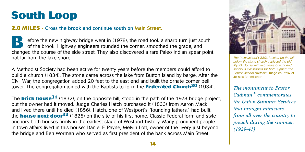### **South Loop**

#### **2.0 miles -** Cross the brook and continue south on Main Street.

efore the new highway bridge went in  $(1978)$ , the road took a sharp turn just south of the head. I liaby we exist a space of the space of the space and of the brook. Highway engineers rounded the corner, smoothed the grade, and efore the new highway bridge went in (1978), the road took a sharp turn just south of the brook. Highway engineers rounded the corner, smoothed the grade, and changed the course of the side street. They also discovered a r not far from the lake shore.

A Methodist Society had been active for twenty years before the members could afford to build a church (1834). The stone came across the lake from Button Island by barge. After the Civil War, the congregation added 20 feet to the east end and built the ornate corner bell tower. The congregation joined with the Baptists to form the **Federated Church30** (1934).

The **brick house31** (1832), on the opposite hill, stood in the path of the 1978 bridge project, but the owner had it moved. Judge Charles Hatch purchased it (1833) from Aaron Mack and lived there until he died (1856). Hatch, one of Westport's "founding fathers," had built the **house next door32** (1825) on the site of his first home. Classic Federal form and style anchors both houses firmly in the earliest stage of Westport history. Many prominent people in town affairs lived in this house: Daniel F. Payne, Melvin Lott, owner of the livery just beyond the bridge and Ben Worman who served as first president of the bank across Main Street.



*The "new school"(1889), located on the hill below the stone church, replaced the old Myrick House with two floors of light and spacious classrooms for both "upper" and "lower" school students.* Image courtesy of Jessica Roemischer .

*The monument to Pastor Cadman\* commemorates the Union Summer Services that brought ministers from all over the country to preach during the summer. (1929-41)*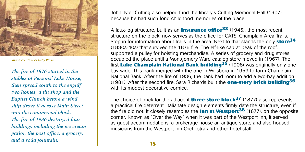

*Image courtesy of Betty White.*

*The fire of 1876 started in the stables of Persons' Lake House, then spread south to the engulf two homes, a tin shop and the Baptist Church before a wind shift drove it across Main Street into the commercial block. The fire of 1936 destroyed four buildings including the ice cream parlor, the post office, a grocery, and a soda fountain.* 

John Tyler Cutting also helped fund the library's Cutting Memorial Hall (1907) because he had such fond childhood memories of the place.

A faux-log structure, built as an **Insurance office33** (1945), the most recent structure on the block, now serves as the office for CATS, Champlain Area Trails. Stop in for information about trails in the area. Next to that stands the only **store34** (1830s-40s) that survived the 1876 fire. The elf-like cap at peak of the roof, supported a pulley for hoisting merchandise. A series of grocery and drug stores occupied the place until a Montgomery Ward catalog store moved in (1967). The first **Lake Champlain National Bank building35** (1908) was originally only one bay wide. This bank merged with the one in Willsboro in 1959 to form Champlain National Bank. After the fire of 1936, the bank had room to add a two-bay addition (1981). After the second fire, Sara Richards built the **one-story brick building36** with its modest decorative cornice.

The choice of brick for the adjacent **three-store block37** (1877) also represents a practical fire deterrent. Italianate design elements firmly date the structure, even if the fire did not. It closely resembles the **Inn at Westport38** (1877), on the opposite corner. Known as "Over the Way" when it was part of the Westport Inn, it served as guest accommodations, a brokerage house an antique store, and also housed musicians from the Westport Inn Orchestra and other hotel staff.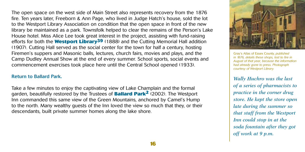The open space on the west side of Main Street also represents recovery from the 1876 fire. Ten years later, Freeborn & Ann Page, who lived in Judge Hatch's house, sold the lot to the Westport Library Association on condition that the open space in front of the new library be maintained as a park. Townsfolk helped to clear the remains of the Person's Lake House hotel. Miss Alice Lee took great interest in the project, assisting with fund-raising efforts for both the **Westport Library39** (1888) and the Cutting Memorial Hall addition (1907). Cutting Hall served as the social center for the town for half a century, hosting Firemen's suppers and Masonic balls, lectures, church fairs, movies and plays, and the Camp Dudley Annual Show at the end of every summer. School sports, social events and commencement exercises took place here until the Central School opened (1933).

#### Return to Ballard Park.

Take a few minutes to enjoy the captivating view of Lake Champlain and the formal garden, beautifully restored by the Trustees of **Ballard Park2** (2002). The Westport Inn commanded this same view of the Green Mountains, anchored by Camel's Hump to the north. Many wealthy guests of the Inn loved the view so much that they, or their descendants, built private summer homes along the lake shore.



Gray's Atlas of Essex County, *published in 1876, details these shops, lost to fire in August of that year, because the information had already gone to press. Photograph courtesy of Westport Library.*

*Wally Huchro was the last of a series of pharmacists to practice in the corner drug store. He kept the store open late during the summer so that staff from the Westport Inn could stop in at the soda fountain after they got off work at 9 p.m.*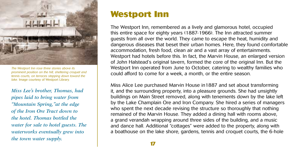

*The Westport Inn rose three stories above its prominent position on the hill, sheltering croquet and tennis courts, on terraces stepping down toward the lake.* Image courtesy of Westport Library.

*Miss Lee's brother, Thomas, had pipes laid to bring water from "Mountain Spring,"at the edge of the Iron Ore Tract down to the hotel. Thomas bottled the water for sale to hotel guests. The waterworks eventually grew into the town water supply.* 

### **Westport Inn**

The Westport Inn, remembered as a lively and glamorous hotel, occupied this entire space for eighty years (1887-1966). The Inn attracted summer guests from all over the world. They came to escape the heat, humidity and dangerous diseases that beset their urban homes. Here, they found comfortable accommodation, fresh food, clean air and a vast array of entertainments. Westport had hotels before this. In fact, the Marvin House, an enlarged version of John Halstead's original tavern, formed the core of the original Inn. But the Westport Inn operated from June to October, catering to wealthy families who could afford to come for a week, a month, or the entire season.

Miss Alice Lee purchased Marvin House in1887 and set about transforming it, and the surrounding property, into a pleasure grounds. She had unsightly buildings on Main Street removed, along with tenements down by the lake left by the Lake Champlain Ore and Iron Company. She hired a series of managers who spent the next decade revising the structure so thoroughly that nothing remained of the Marvin House. They added a dining hall with rooms above, a grand verandah wrapping around three sides of the building, and a music and dance hall. Additional "cottages" were added to the property, along with a boathouse on the lake shore, gardens, tennis and croquet courts, the 6-hole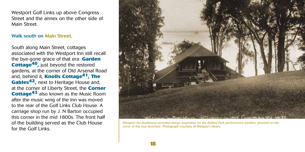Westport Golf Links up above Congress Street and the annex on the other side of Main Street.

#### Walk south on Main Street.

South along Main Street, cottages associated with the Westport Inn still recall the bye-gone grace of that era: **Garden Cottage40,** just beyond the restored gardens, at the corner of Old Arsenal Road and, behind it, **Knolls Cottage41, The Gables42,** next to Heritage House and, at the corner of Liberty Street, the **Corner Cottage43** also known as the Music Room after the music wing of the Inn was moved to the rear of the Golf Links Club House. A carriage shop run by J. N Barton occupied this corner in the mid 1800s. The front half of the building served as the Club House for the Golf Links.



*Westport Inn Boathouse provided design inspiration for the Ballard Park performance pavilion, pictured on the cover of this tour brochure.* Photograph courtesy of Westport Library.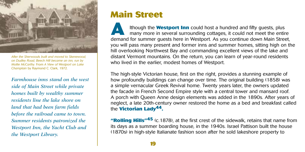

*After the Sherwoods built and moved to Skenewood, on Dudley Road, Beech Hill became an inn, run by Mollie McCarthy.* From *A View of Westport on Lake Champlain* by Raymond C. Clark, 1972.

*Farmhouse inns stand on the west side of Main Street while private homes built by wealthy summer residents line the lake shore on land that had been farm fields before the railroad came to town. Summer residents patronized the Westport Inn, the Yacht Club and the Westport Library.* 

### **Main Street**

 lthough the **Westport Inn** could host a hundred and fifty guests, plus many more in several surrounding cottages, it could not meet the entire Ithough the **Westport Inn** could host a hundred and fifty guests, plus many more in several surrounding cottages, it could not meet the entire demand for summer guests here in Westport. As you continue down Main Street, you will pass many present and former inns and summer homes, sitting high on the hill overlooking Northwest Bay and commanding excellent views of the lake and distant Vermont mountains. On the return, you can learn of year-round residents who lived in the earlier, modest homes of Westport.

The high-style Victorian house, first on the right, provides a stunning example of how profoundly buildings can change over time. The original building (1858) was a simple vernacular Greek Revival home. Twenty years later, the owners updated the facade in French Second Empire style with a central tower and mansard roof. A porch with Queen Anne design elements was added in the 1890s. After years of neglect, a late 20th-century owner restored the home as a bed and breakfast called the **Victorian Lady44.**

**"Rolling Hills"45** (c.1878), at the first crest of the sidewalk, retains that name from its days as a summer boarding house, in the 1940s. Israel Pattison built the house (1870s) in high-style Italianate fashion soon after he sold lakeshore property to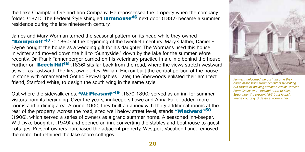the Lake Champlain Ore and Iron Company. He repossessed the property when the company folded (1871). The Federal Style shingled **farmhouse46** next door (1832) became a summer residence during the late nineteenth century.

James and Mary Worman turned the seasonal pattern on its head while they owned **"Bonnycroft"47** (c.1860) at the beginning of the twentieth century. Mary's father, Daniel F. Payne bought the house as a wedding gift for his daughter. The Wormans used this house in winter and moved down the hill to "Sunnyside," down by the lake for the summer. More recently, Dr. Frank Tannenberger carried on his veterinary practice in a clinic behind the house. Further on, **Beech Hill48** (1836) sits far back from the road, where the views stretch westward as well as eastward. The first owner, Rev. William Hickox built the central portion of the house in stone with ornamented Gothic Revival gables. Later, the Sherwoods enlisted their architect friend, Stanford White, to design the south wing in the same style.

Out where the sidewalk ends, **"Mt Pleasant"49** (1870-1890) served as an inn for summer visitors from its beginning. Over the years, innkeepers Lowe and Anna Fuller added more rooms and a dining area. Around 1900, they built an annex with thirty additional rooms at the rear of the property. Across the road, sited well below street level, stands **"Windward"50**  (1906), which served a series of owners as a grand summer home. A seasoned inn-keeper, W J Dyke bought it (1949) and opened an inn, converting the stables and boathouse to guest cottages. Present owners purchased the adjacent property, Westport Vacation Land, removed the motel but retained the lake-shore cottages.



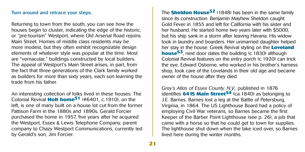#### Turn around and retrace your steps.

Returning to town from the south, you can see how the houses begin to cluster, indicating the edge of the historic, or "pre-tourism" Westport, where Old Arsenal Road rejoins Main Street. Homes of middle class residents may be more modest, but they often exhibit recognizable design elements of whatever style was popular at the time. Most are "vernacular," buildings constructed by local builders. The appeal of Westport's Main Street arises, in part, from the fact that three generations of the Clark family worked as builders for more than sixty years, each son learning the trade from his father.

An interesting collection of folks lived in these houses. The Colonial Revival **Holt home51** (#6401, c.1910), on the left, is one of many built on a house lot cut from the former Pattison Farm in the 1880s and 1890s. Gerald Forcier purchased the home in 1957, five years after he acquired the Westport, Essex & Lewis Telephone Company, parent company to Chazy Westport Communications, currently led by Gerald's son, Jim Forcier.

The **Sheldon House52** (1848) has been in the same family since its construction. Benjamin Mayhew Sheldon caught Gold Fever in 1855 and left for California with his sister and her husband. He started home two years later with \$5000, but his ship sank in a storm after leaving Havana. His widow took in laundry and boarders. Her unmarried daughter helped her stay in the house. Greek Revival styling on the **Loveland house<sup>53</sup>**, next door dates the building (c.1830) although Colonial Revival features on the entry porch (c.1920) can trick the eye. Edward Osborne, who worked in his brother's harness shop, took care of the Lovelands in their old age and became owner of the house after they died.

*Gray's Atlas of Essex County, N.Y.,* published in 1876 identifies **6415 Main Street54** (ca.1840) as belonging to J.E. Barnes. Barnes lost a leg at the Battle of Petersburg, Virginia, in 1864. The US Lighthouse Board had a policy of employing Civil War veterans, so Barnes became the first Keeper of the Barber Point Lighthouse (see p. 26), a job that came with a horse so that he could get to town for supplies. The lighthouse shut down when the lake iced over, so Barnes lived here during the winter months.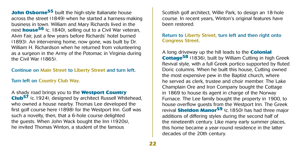**John Osborne<sup>55</sup>** built the high-style Italianate house across the street (1849) when he started a harness-making business in town. William and Mary Richards lived in the next **house<sup>56</sup>** (c. 1840), selling out to a Civil War veteran, Alvin Fair, just a few years before Richards' hotel burned (1893). An intervening home, now gone, was built by Dr. William H. Richardson when he returned from volunteering as a surgeon in the Army of the Potomac in Virginia during the Civil War (1865).

#### Continue on Main Street to Liberty Street and turn left.

#### Turn left on Country Club Way.

A shady road brings you to the **Westport Country Club57** (c.1924), designed by architect Russell Whitehead, who owned a house nearby. Thomas Lee developed the first golf course here (1898) for the Westport Inn. Golf was such a novelty, then, that a 6-hole course delighted the guests. When John Wack bought the Inn (1920s), he invited Thomas Winton, a student of the famous

Scottish golf architect, Willie Park, to design an 18-hole course. In recent years, Winton's original features have been restored.

#### Return to Liberty Street, turn left and then right onto Congress Street.

A long driveway up the hill leads to the **Colonial Cottage58** (1836), built by William Cutting in high Greek Revival style, with a full Greek portico supported by fluted Doric columns. When he built this house, Cutting owned the most expensive pew in the Baptist church, where he served as clerk, trustee and choir member. The Lake Champlain Ore and Iron Company bought the Cottage in 1869 to house its agent in charge of the Norway Furnace. The Lee family bought the property in 1900, to house overflow guests from the Westport Inn. The Greek revival **Sheldon Manor59** (c.1850) has had three major additions of differing styles during the second half of the nineteenth century. Like many early summer places, this home became a year-round residence in the latter decades of the 20th century.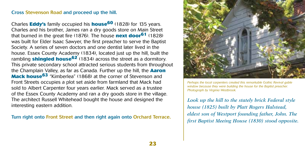#### Cross Stevenson Road and proceed up the hill.

Charles **Eddy's** family occupied his **house60** (1828) for 135 years. Charles and his brother, James ran a dry goods store on Main Street that burned in the great fire (1876). The house **next door61** (1828) was built for Elder Isaac Sawyer, the first preacher to serve the Baptist Society. A series of seven doctors and one dentist later lived in the house. Essex County Academy (1834), located just up the hill, built the rambling **shingled house62** (1834) across the street as a dormitory. This private secondary school attracted serious students from throughout the Champlain Valley, as far as Canada. Further up the hill, the **Aaron Mack house63** "Kimberlea" (1868) at the corner of Stevenson and Front Streets occupies a plot set aside from farmland that Mack had sold to Albert Carpenter four years earlier. Mack served as a trustee of the Essex County Academy and ran a dry goods store in the village. The architect Russell Whitehead bought the house and designed the interesting eastern addition.

Turn right onto Front Street and then right again onto Orchard Terrace.



*Perhaps the local carpenters created this remarkable Gothic Revival gable window because they were building the house for the Baptist preacher. Photograph by Virginia Westbrook.*

*Look up the hill to the stately brick Federal style house (1825) built by Platt Rogers Halstead, eldest son of Westport founding father, John. The first Baptist Meeing House (1830) stood opposite.*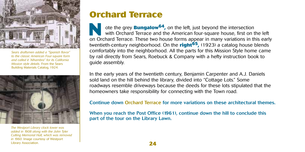

*Sears draftsmen added a "Spanish flavor" to the classic American Four-square form and called it "Alhambra" for its California Mission style details.* From the Sears Building Materials Catalog, 1924.



*The Westport Library clock tower was added in 1908 along with the John Tyler Cutting Memorial Hall, which was removed in 1960.* Image courtesy of Westport Library Association.

### **Orchard Terrace**

 ote the grey **Bungalow64,** on the left, just beyond the intersection with Orchard Terrace and the American four-square house, first on the left ote the grey **Bungalow<sup>64</sup>**, on the left, just beyond the intersection with Orchard Terrace and the American four-square house, first on the left on Orchard Terrace. These two house forms appear in many variations in this twentieth-century neighborhood. On the **right65,** (1923) a catalog house blends comfortably into the neighborhood. All the parts for this Mission Style home came by rail directly from Sears, Roebuck & Company with a hefty instruction book to guide assembly.

In the early years of the twentieth century, Benjamin Carpenter and A.J. Daniels sold land on the hill behind the library, divided into "Cottage Lots." Some roadways resemble driveways because the deeds for these lots stipulated that the homeowners take responsibility for connecting with the Town road.

#### Continue down Orchard Terrace for more variations on these architectural themes.

When you reach the Post Office (1961), continue down the hill to conclude this part of the tour on the Library Lawn.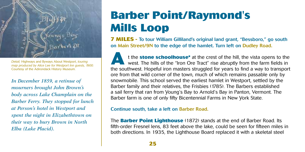

*Detail,* Highways and Byways About Westport, *touring map produced by Alice Lee for Westport Inn guests, 1900.*  Courtesy of the Adirondack History Museum.

*In December 1859, a retinue of mourners brought John Brown's body across Lake Champlain on the Barber Ferry. They stopped for lunch at Person's hotel in Westport and spent the night in Elizabethtown on their way to bury Brown in North Elba (Lake Placid).*

### **Barber Point/Raymond's Mills Loop**

**7 MILES** - To tour William Gilliland's original land grant, "Bessboro," go south on Main Street/9N to the edge of the hamlet. Turn left on Dudley Road.

 t the **stone schoolhouse\*** at the crest of the hill, the vista opens to the west. The hills of the "Iron Ore Tract" rise abruptly from the farm fields in t the **stone schoolhouse**\* at the crest of the hill, the vista opens to the west. The hills of the "Iron Ore Tract" rise abruptly from the farm fields in the southwest. Hopeful iron masters struggled for years to find a wa ore from that wild corner of the town, much of which remains passable only by snowmobile. This school served the earliest hamlet in Westport, settled by the Barber family and their relatives, the Frisbies (1785). The Barbers established a sail ferry that ran from Young's Bay to Arnold's Bay in Panton, Vermont. The Barber farm is one of only fifty Bicentennial Farms in New York State.

#### Continue south, take a left on Barber Road.

The **Barber Point Lighthouse** (1872) stands at the end of Barber Road. Its fifth-order Fresnel lens, 83 feet above the lake, could be seen for fifteen miles in both directions. In 1935, the Lighthouse Board replaced it with a skeletal steel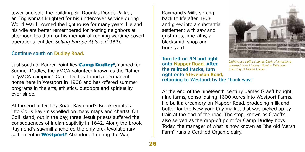tower and sold the building. Sir Douglas Dodds-Parker, an Englishman knighted for his undercover service during World War II, owned the lighthouse for many years. He and his wife are better remembered for hosting neighbors at afternoon tea than for his memoir of running wartime covert operations, entitled *Setting Europe Ablaze* (1983).

#### Continue south on Dudley Road.

Just south of Barber Point lies **Camp Dudley\***, named for Sumner Dudley, the YMCA volunteer known as the "father of YMCA camping". Camp Dudley found a permanent home here in Westport in 1908 and has offered summer programs in the arts, athletics, outdoors and spirituality ever since.

At the end of Dudley Road, Raymond's Brook empties into Coll's Bay (misspelled on many maps and charts). On Coll Island, out in the bay, three Jesuit priests suffered the consequences of Indian captivity in 1642. Along the brook, Raymond's sawmill anchored the only pre-Revolutionary settlement in **Westport.\*** Abandoned during the War,

Raymond's Mills sprang back to life after 1808 and grew into a substantial settlement with saw and grist mills, lime kilns, a blacksmith shop and brick yard.

Turn left on 9N and right onto Napper Road. After the railroad tracks, turn right onto Stevenson Road, returning to Westport by the "back way."



*Lighthouse built by Lewis Clark of limestone quarried from Ligonier Point in Willsboro.*  Courtesy of Morris Glenn.

At the end of the nineteenth century, James Graeff bought nine farms, consolidating 1600 Acres into Westport Farms. He built a creamery on Napper Road, producing milk and butter for the New York City market that was picked up by train at the end of the road. The stop, known as Graeff's, also served as the drop-off point for Camp Dudley boys. Today, the manager of what is now known as "the old Marsh Farm" runs a Certified Organic dairy.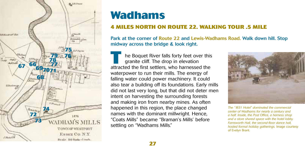

### **Wadhams**

#### **4 miles north on Route 22. Walking tour .5 mile**

Park at the corner of Route 22 and Lewis-Wadhams Road. Walk down hill. Stop midway across the bridge & look right.

L he Boquet River falls forty feet over this granite cliff. The drop in elevation **Example 18 he Boquet River falls forty feet over this granite cliff. The drop in elevation attracted the first settlers, who harnessed the** waterpower to run their mills. The energy of falling water could power machinery. It could also tear a building off its foundations. Early mills did not last very long, but that did not deter men intent on harvesting the surrounding forests and making iron from nearby mines. As often happened in this region, the place changed names with the dominant millwright. Hence, "Coats Mills" became "Braman's Mills' before settling on "Wadhams Mills."



*The "1831 Hotel" dominated the commercial center of Wadhams for nearly a century and a half. Inside, the Post Office, a harness shop and a store shared space with the hotel lobby. Farnsworth Hall, the second-floor dance hall, hosted formal holiday gatherings.* Image courtesy of Evelyn Brant.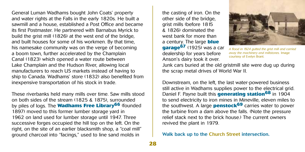General Luman Wadhams bought John Coats' property and water rights at the Falls in the early 1820s. He built a sawmill and a house, established a Post Office and became its first Postmaster. He partnered with Barnabus Myrick to build the grist mill (1826) at the west end of the bridge, and built houses for some of his workmen. By that time, his namesake community was on the verge of becoming a boom town, further accelerated by the Champlain Canal (1823) which opened a water route between Lake Champlain and the Hudson River, allowing local manufacturers to reach US markets instead of having to ship to Canada. Wadhams' store (1832) also benefited from inexpensive transportation of his stock in trade.

These riverbanks held many mills over time. Saw mills stood on both sides of the stream (1825 & 1875), surrounded by piles of logs. The **Wadhams Free Library66** (founded 1897) moved to this former lumber storage yard in 1962 on land used for lumber storage until 1947. Three successive forges occupied the hill top on the left. On the right, on the site of an earlier blacksmith shop, a "coal mill" ground charcoal into "facings," used to line sand molds in

the casting of iron. On the other side of the bridge, grist mills (before 1815 & 1826) dominated the west bank for more than a century. The large **blue garage67** (1925) was a car dealership for years before Anson's dairy took it over.



*A flood in 1924 gutted the grist mill and carried away the machinery and millstones.* Image courtesy of Evelyn Brant.

Junk cars buried at the old gristmill site were dug up during the scrap metal drives of World War II.

Downstream, on the left, the last water-powered business still active in Wadhams supplies power to the electrical grid. Daniel F. Payne built this **generating station68** in 1904 to send electricity to iron mines in Mineville, eleven miles to the southwest. A large **penstock69** carries water to power the turbine from a dam above the falls. (Note the pressure relief stack next to the brick house.) The current owners revived the plant in 1979.

Walk back up to the Church Street intersection.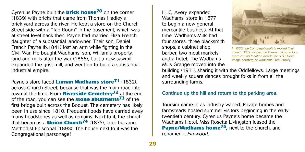Cyrenius Payne built the **brick house70** on the corner (1839) with bricks that came from Thomas Hadley's brick yard across the river. He kept a store on the Church Street side with a "Tap Room" in the basement, which was at street level back then. Payne had married Eliza French, daughter of a substantial landowner. Their son, Daniel French Payne (b.1841) lost an arm while fighting in the Civil War. He bought Wadhams' son, William's property, land and mills after the war (1865), built a new sawmill, expanded the grist mill, and went on to build a substantial industrial empire.

Payne's store faced **Luman Wadhams store71** (1832), across Church Street, because that was the main road into town at the time. From **Riverside Cemetery72** at the end of the road, you can see the **stone abutments73** of the first bridge built across the Boquet. The cemetery has likely been in use since 1810. Frequent floods have carried away many headstones as well as remains. Next to it, the church that began as a **Union Church74** (1875), later became Methodist Episcopal (1893). The house next to it was the Congregational parsonage!

H. C. Avery expanded Wadhams' store in 1877 to begin a new general mercantile business. At that time, Wadhams Mills had four stores, three blacksmith shops, a cabinet shop, barber, two meat markets and a hotel. The Wadhams Mills Grange moved into the



*In 1866, the Congregationalists moved their church (1837) across the frozen mill pond to a more central location beside the 1831 Hotel.*  Image courtesy of Wadhams Free Library.

building (1911), sharing it with the Oddfellows. Large meetings and weekly square dances brought folks in from all the surrounding farms.

#### Continue up the hill and return to the parking area.

Toursim came in as industry waned. Private homes and farmsteads hosted summer visitors beginning in the early twentieth century. Cyrenius Payne's home became the Wadhams Hotel. Miss Rosetta Livingston leased the **Payne/Wadhams home75,** next to the church, and renamed it *Elmwood*.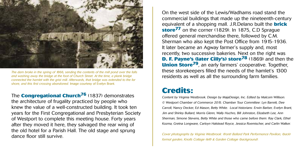

*The dam broke in the spring of 1866, sending the contents of the mill pond over the falls and washing away the bridge at the foot of Church Street. At the time, a plank bridge connected the hamlet with the grist mill. Afterwards, that bridge was extended to the far shore, and this first crossing abandoned.* Image courtesy of Evelyn Brant.

The **Congregational Church76** (1837) demonstrates

the architecture of frugality practiced by people who knew the value of a well-constructed building. It took ten years for the First Congregational and Presbyterian Society of Westport to complete this meeting house. Forty years after they moved it here, they salvaged the rear wing of the old hotel for a Parish Hall. The old stage and sprung dance floor still survive.

On the west side of the Lewis/Wadhams road stand the commercial buildings that made up the nineteenth-century equivalent of a shopping mall. J.R.Delano built the **brick store77** on the corner (1829). In 1875, C.D Sprague offered general merchandise there, followed by C.M. Sherman who also kept the Post Office from 1915-1936. It later became an Agway farmer's supply and, most recently, two successive bakeries. Next on the right was **D. F. Payne's (later Cilly's) store78** (1869) and then the **Union Store79**, an early farmers' cooperative. Together, these storekeepers filled the needs of the hamlet's 1300 residents as well as all the surrounding farm families.

### **Credits:**

Content by Virginia Westbrook. Design by MajaDesign, Inc. Edited by Malcom Willison. © Westport Chamber of Commerce 2015. Chamber Tour Committee: Lyn Barrett, Dee Carroll, Nancy Decker, Ed Mason, Betty White. Local historians: Erwin Barber, Evelyn Brant, Jim and Shirley Bullard, Morris Glenn, Wally Huchro, Bill Johnston, Elizabeth Lee, Ann Sherman, Simone Stevens, Betty White and those who came before them: Ray Clark, Ethel Kozma, Gretna Longware, Carloyn Halstead Royce, Jessica Roemischer, and Carlin Walker.

*Cover photographs by Virginia Westbrook: (front) Ballard Park Performance Pavilion, (back) formal garden, Knolls Cottage (left) & Garden Cottage (background).*